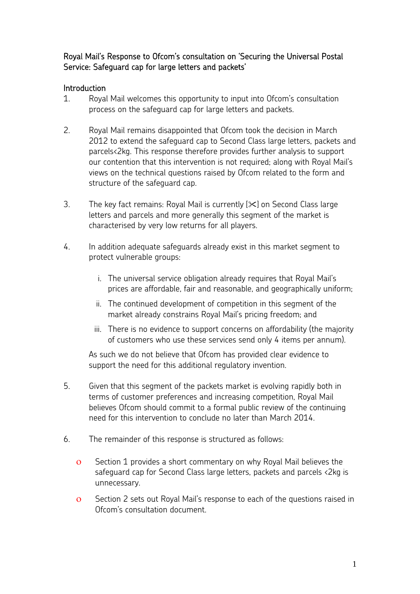# Royal Mail's Response to Ofcom's consultation on 'Securing the Universal Postal Service: Safeguard cap for large letters and packets'

# Introduction

- 1. Royal Mail welcomes this opportunity to input into Ofcom's consultation process on the safeguard cap for large letters and packets.
- 2. Royal Mail remains disappointed that Ofcom took the decision in March 2012 to extend the safeguard cap to Second Class large letters, packets and parcels<2kg. This response therefore provides further analysis to support our contention that this intervention is not required; along with Royal Mail's views on the technical questions raised by Ofcom related to the form and structure of the safeguard cap.
- 3. The key fact remains: Royal Mail is currently  $[\times]$  on Second Class large letters and parcels and more generally this segment of the market is characterised by very low returns for all players.
- 4. In addition adequate safeguards already exist in this market segment to protect vulnerable groups:
	- i. The universal service obligation already requires that Royal Mail's prices are affordable, fair and reasonable, and geographically uniform;
	- ii. The continued development of competition in this segment of the market already constrains Royal Mail's pricing freedom; and
	- iii. There is no evidence to support concerns on affordability (the majority of customers who use these services send only 4 items per annum).

As such we do not believe that Ofcom has provided clear evidence to support the need for this additional regulatory invention.

- 5. Given that this segment of the packets market is evolving rapidly both in terms of customer preferences and increasing competition, Royal Mail believes Ofcom should commit to a formal public review of the continuing need for this intervention to conclude no later than March 2014.
- 6. The remainder of this response is structured as follows:
	- ο Section 1 provides a short commentary on why Royal Mail believes the safeguard cap for Second Class large letters, packets and parcels <2kg is unnecessary.
	- ο Section 2 sets out Royal Mail's response to each of the questions raised in Ofcom's consultation document.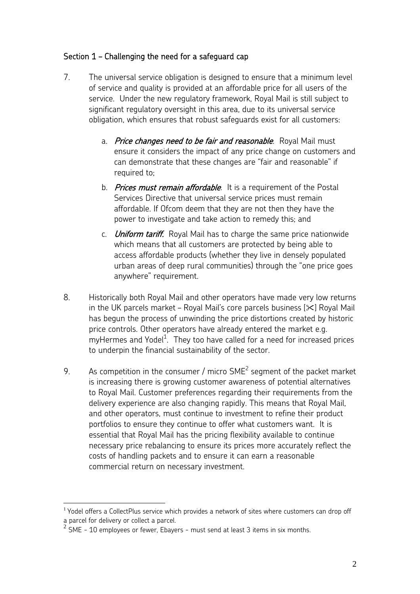# Section 1 – Challenging the need for a safeguard cap

- 7. The universal service obligation is designed to ensure that a minimum level of service and quality is provided at an affordable price for all users of the service. Under the new regulatory framework, Royal Mail is still subject to significant regulatory oversight in this area, due to its universal service obligation, which ensures that robust safeguards exist for all customers:
	- a. Price changes need to be fair and reasonable. Royal Mail must ensure it considers the impact of any price change on customers and can demonstrate that these changes are "fair and reasonable" if required to;
	- b. Prices must remain affordable. It is a requirement of the Postal Services Directive that universal service prices must remain affordable. If Ofcom deem that they are not then they have the power to investigate and take action to remedy this; and
	- c. *Uniform tariff*. Royal Mail has to charge the same price nationwide which means that all customers are protected by being able to access affordable products (whether they live in densely populated urban areas of deep rural communities) through the "one price goes anywhere" requirement.
- 8. Historically both Royal Mail and other operators have made very low returns in the UK parcels market – Royal Mail's core parcels business  $[\times]$  Royal Mail has begun the process of unwinding the price distortions created by historic price controls. Other operators have already entered the market e.g. myHermes and Yodel<sup>1</sup>. They too have called for a need for increased prices to underpin the financial sustainability of the sector.
- 9. As competition in the consumer / micro  $SME<sup>2</sup>$  segment of the packet market is increasing there is growing customer awareness of potential alternatives to Royal Mail. Customer preferences regarding their requirements from the delivery experience are also changing rapidly. This means that Royal Mail, and other operators, must continue to investment to refine their product portfolios to ensure they continue to offer what customers want. It is essential that Royal Mail has the pricing flexibility available to continue necessary price rebalancing to ensure its prices more accurately reflect the costs of handling packets and to ensure it can earn a reasonable commercial return on necessary investment.

 $\overline{a}$ 

<sup>&</sup>lt;sup>1</sup> Yodel offers a CollectPlus service which provides a network of sites where customers can drop off a parcel for delivery or collect a parcel.

 $2^{2}$  SME - 10 employees or fewer, Ebayers - must send at least 3 items in six months.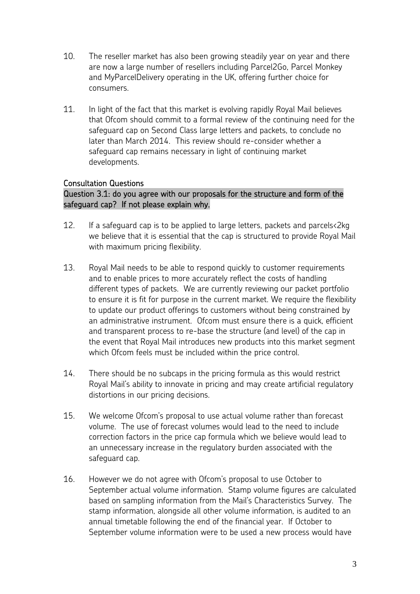- 10. The reseller market has also been growing steadily year on year and there are now a large number of resellers including Parcel2Go, Parcel Monkey and MyParcelDelivery operating in the UK, offering further choice for consumers.
- 11. In light of the fact that this market is evolving rapidly Royal Mail believes that Ofcom should commit to a formal review of the continuing need for the safeguard cap on Second Class large letters and packets, to conclude no later than March 2014. This review should re-consider whether a safeguard cap remains necessary in light of continuing market developments.

### Consultation Questions

# Question 3.1: do you agree with our proposals for the structure and form of the safeguard cap? If not please explain why.

- 12. If a safeguard cap is to be applied to large letters, packets and parcels<2kg we believe that it is essential that the cap is structured to provide Royal Mail with maximum pricing flexibility.
- 13. Royal Mail needs to be able to respond quickly to customer requirements and to enable prices to more accurately reflect the costs of handling different types of packets. We are currently reviewing our packet portfolio to ensure it is fit for purpose in the current market. We require the flexibility to update our product offerings to customers without being constrained by an administrative instrument. Ofcom must ensure there is a quick, efficient and transparent process to re-base the structure (and level) of the cap in the event that Royal Mail introduces new products into this market segment which Ofcom feels must be included within the price control.
- 14. There should be no subcaps in the pricing formula as this would restrict Royal Mail's ability to innovate in pricing and may create artificial regulatory distortions in our pricing decisions.
- 15. We welcome Ofcom's proposal to use actual volume rather than forecast volume. The use of forecast volumes would lead to the need to include correction factors in the price cap formula which we believe would lead to an unnecessary increase in the regulatory burden associated with the safeguard cap.
- 16. However we do not agree with Ofcom's proposal to use October to September actual volume information. Stamp volume figures are calculated based on sampling information from the Mail's Characteristics Survey. The stamp information, alongside all other volume information, is audited to an annual timetable following the end of the financial year. If October to September volume information were to be used a new process would have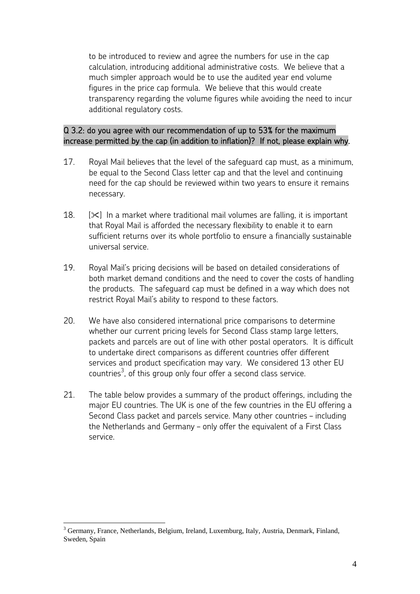to be introduced to review and agree the numbers for use in the cap calculation, introducing additional administrative costs. We believe that a much simpler approach would be to use the audited year end volume figures in the price cap formula. We believe that this would create transparency regarding the volume figures while avoiding the need to incur additional regulatory costs.

### Q 3.2: do you agree with our recommendation of up to 53% for the maximum increase permitted by the cap (in addition to inflation)? If not, please explain why.

- 17. Royal Mail believes that the level of the safeguard cap must, as a minimum, be equal to the Second Class letter cap and that the level and continuing need for the cap should be reviewed within two years to ensure it remains necessary.
- 18.  $[\times]$  In a market where traditional mail volumes are falling, it is important that Royal Mail is afforded the necessary flexibility to enable it to earn sufficient returns over its whole portfolio to ensure a financially sustainable universal service.
- 19. Royal Mail's pricing decisions will be based on detailed considerations of both market demand conditions and the need to cover the costs of handling the products. The safeguard cap must be defined in a way which does not restrict Royal Mail's ability to respond to these factors.
- 20. We have also considered international price comparisons to determine whether our current pricing levels for Second Class stamp large letters, packets and parcels are out of line with other postal operators. It is difficult to undertake direct comparisons as different countries offer different services and product specification may vary. We considered 13 other EU countries $^3$ , of this group only four offer a second class service.
- 21. The table below provides a summary of the product offerings, including the major EU countries. The UK is one of the few countries in the EU offering a Second Class packet and parcels service. Many other countries – including the Netherlands and Germany – only offer the equivalent of a First Class service.

 $\overline{a}$ <sup>3</sup> Germany, France, Netherlands, Belgium, Ireland, Luxemburg, Italy, Austria, Denmark, Finland, Sweden, Spain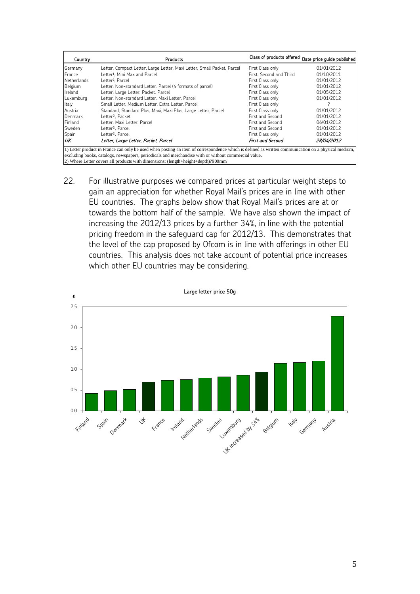| Country                                                                                                                                             | Products                                                                |                         | Class of products offered Date price guide published |
|-----------------------------------------------------------------------------------------------------------------------------------------------------|-------------------------------------------------------------------------|-------------------------|------------------------------------------------------|
| Germany                                                                                                                                             | Letter, Compact Letter, Large Letter, Maxi Letter, Small Packet, Parcel | First Class only        | 01/01/2012                                           |
| France                                                                                                                                              | Letter <sup>1</sup> , Mini Max and Parcel                               | First. Second and Third | 01/10/2011                                           |
| Netherlands                                                                                                                                         | Letter <sup>2</sup> , Parcel                                            | First Class only        | 01/01/2012                                           |
| Belgium                                                                                                                                             | Letter, Non-standard Letter, Parcel (4 formats of parcel)               | First Class only        | 01/01/2012                                           |
| Ireland                                                                                                                                             | Letter, Large Letter, Packet, Parcel                                    | First Class only        | 01/05/2012                                           |
| Luxemburg                                                                                                                                           | Letter, Non-standard Letter, Maxi Letter, Parcel                        | First Class only        | 01/01/2012                                           |
| Italy                                                                                                                                               | Small Letter, Medium Letter, Extra Letter, Parcel                       | First Class only        |                                                      |
| Austria                                                                                                                                             | Standard, Standard Plus, Maxi, Maxi Plus, Large Letter, Parcel          | First Class only        | 01/01/2012                                           |
| Denmark                                                                                                                                             | Letter <sup>2</sup> , Packet                                            | First and Second        | 01/01/2012                                           |
| Finland                                                                                                                                             | Letter, Maxi Letter, Parcel                                             | First and Second        | 06/01/2012                                           |
| Sweden                                                                                                                                              | Letter <sup>2</sup> , Parcel                                            | First and Second        | 01/01/2012                                           |
| Spain                                                                                                                                               | Letter <sup>2</sup> , Parcel                                            | First Class only        | 01/01/2012                                           |
| UК                                                                                                                                                  | Letter, Large Letter, Packet, Parcel                                    | <b>First and Second</b> | 28/04/2012                                           |
| 1) Letter product in France can only be used when posting an item of correspondence which is defined as written communication on a physical medium, |                                                                         |                         |                                                      |
| excluding books, catalogs, newspapers, periodicals and merchandise with or without commercial value.                                                |                                                                         |                         |                                                      |
| 2) Where Letter covers all products with dimensions: (length+height+depth)?900mm                                                                    |                                                                         |                         |                                                      |

22. For illustrative purposes we compared prices at particular weight steps to gain an appreciation for whether Royal Mail's prices are in line with other EU countries. The graphs below show that Royal Mail's prices are at or towards the bottom half of the sample. We have also shown the impact of increasing the 2012/13 prices by a further 34%, in line with the potential pricing freedom in the safeguard cap for 2012/13. This demonstrates that the level of the cap proposed by Ofcom is in line with offerings in other EU countries. This analysis does not take account of potential price increases which other EU countries may be considering.



Large letter price 50g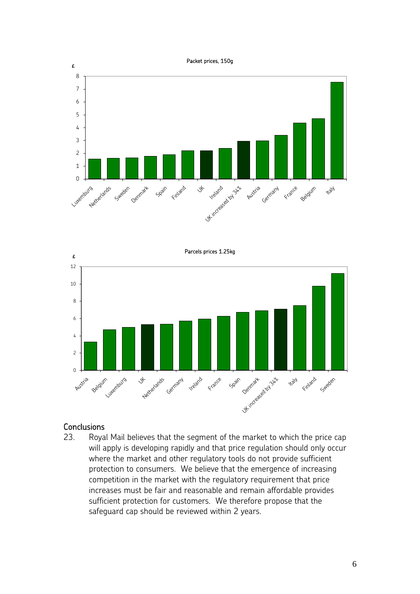



#### **Conclusions**

23. Royal Mail believes that the segment of the market to which the price cap will apply is developing rapidly and that price regulation should only occur where the market and other regulatory tools do not provide sufficient protection to consumers. We believe that the emergence of increasing competition in the market with the regulatory requirement that price increases must be fair and reasonable and remain affordable provides sufficient protection for customers. We therefore propose that the safeguard cap should be reviewed within 2 years.